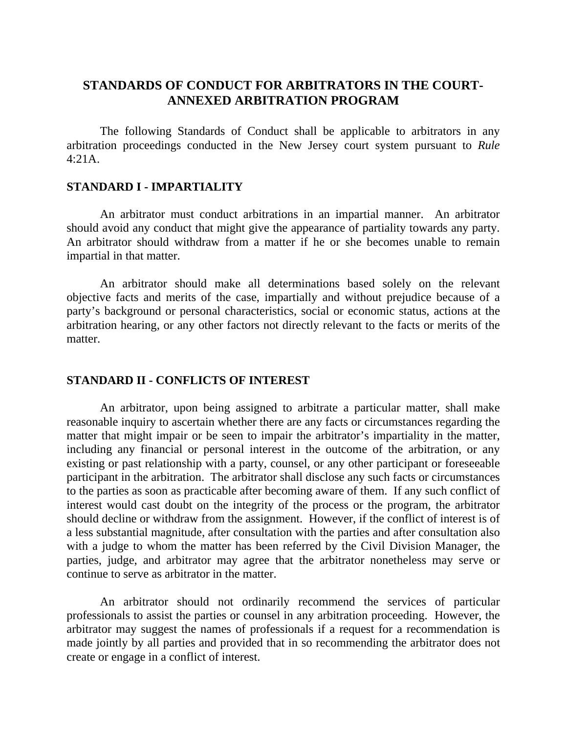# **STANDARDS OF CONDUCT FOR ARBITRATORS IN THE COURT-ANNEXED ARBITRATION PROGRAM**

The following Standards of Conduct shall be applicable to arbitrators in any arbitration proceedings conducted in the New Jersey court system pursuant to *Rule* 4:21A.

#### **STANDARD I - IMPARTIALITY**

An arbitrator must conduct arbitrations in an impartial manner. An arbitrator should avoid any conduct that might give the appearance of partiality towards any party. An arbitrator should withdraw from a matter if he or she becomes unable to remain impartial in that matter.

An arbitrator should make all determinations based solely on the relevant objective facts and merits of the case, impartially and without prejudice because of a party's background or personal characteristics, social or economic status, actions at the arbitration hearing, or any other factors not directly relevant to the facts or merits of the matter.

#### **STANDARD II - CONFLICTS OF INTEREST**

An arbitrator, upon being assigned to arbitrate a particular matter, shall make reasonable inquiry to ascertain whether there are any facts or circumstances regarding the matter that might impair or be seen to impair the arbitrator's impartiality in the matter, including any financial or personal interest in the outcome of the arbitration, or any existing or past relationship with a party, counsel, or any other participant or foreseeable participant in the arbitration. The arbitrator shall disclose any such facts or circumstances to the parties as soon as practicable after becoming aware of them. If any such conflict of interest would cast doubt on the integrity of the process or the program, the arbitrator should decline or withdraw from the assignment. However, if the conflict of interest is of a less substantial magnitude, after consultation with the parties and after consultation also with a judge to whom the matter has been referred by the Civil Division Manager, the parties, judge, and arbitrator may agree that the arbitrator nonetheless may serve or continue to serve as arbitrator in the matter.

An arbitrator should not ordinarily recommend the services of particular professionals to assist the parties or counsel in any arbitration proceeding. However, the arbitrator may suggest the names of professionals if a request for a recommendation is made jointly by all parties and provided that in so recommending the arbitrator does not create or engage in a conflict of interest.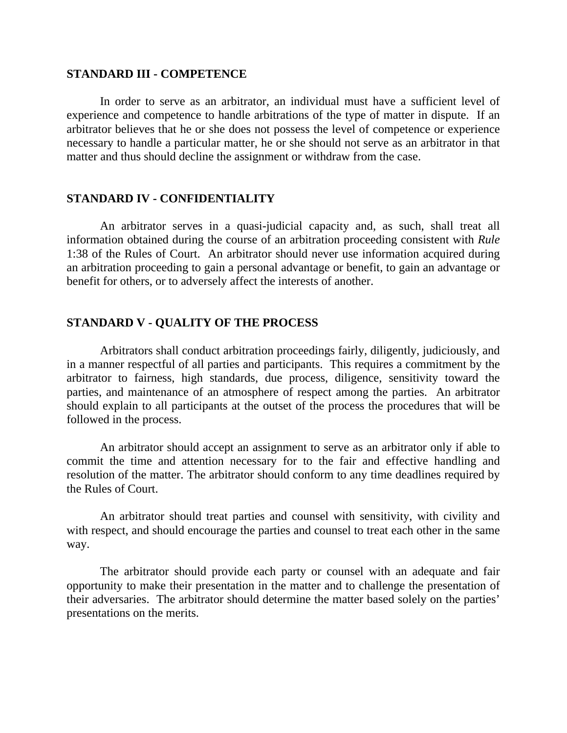#### **STANDARD III - COMPETENCE**

In order to serve as an arbitrator, an individual must have a sufficient level of experience and competence to handle arbitrations of the type of matter in dispute. If an arbitrator believes that he or she does not possess the level of competence or experience necessary to handle a particular matter, he or she should not serve as an arbitrator in that matter and thus should decline the assignment or withdraw from the case.

### **STANDARD IV - CONFIDENTIALITY**

An arbitrator serves in a quasi-judicial capacity and, as such, shall treat all information obtained during the course of an arbitration proceeding consistent with *Rule* 1:38 of the Rules of Court. An arbitrator should never use information acquired during an arbitration proceeding to gain a personal advantage or benefit, to gain an advantage or benefit for others, or to adversely affect the interests of another.

## **STANDARD V - QUALITY OF THE PROCESS**

Arbitrators shall conduct arbitration proceedings fairly, diligently, judiciously, and in a manner respectful of all parties and participants. This requires a commitment by the arbitrator to fairness, high standards, due process, diligence, sensitivity toward the parties, and maintenance of an atmosphere of respect among the parties. An arbitrator should explain to all participants at the outset of the process the procedures that will be followed in the process.

An arbitrator should accept an assignment to serve as an arbitrator only if able to commit the time and attention necessary for to the fair and effective handling and resolution of the matter. The arbitrator should conform to any time deadlines required by the Rules of Court.

An arbitrator should treat parties and counsel with sensitivity, with civility and with respect, and should encourage the parties and counsel to treat each other in the same way.

The arbitrator should provide each party or counsel with an adequate and fair opportunity to make their presentation in the matter and to challenge the presentation of their adversaries. The arbitrator should determine the matter based solely on the parties' presentations on the merits.